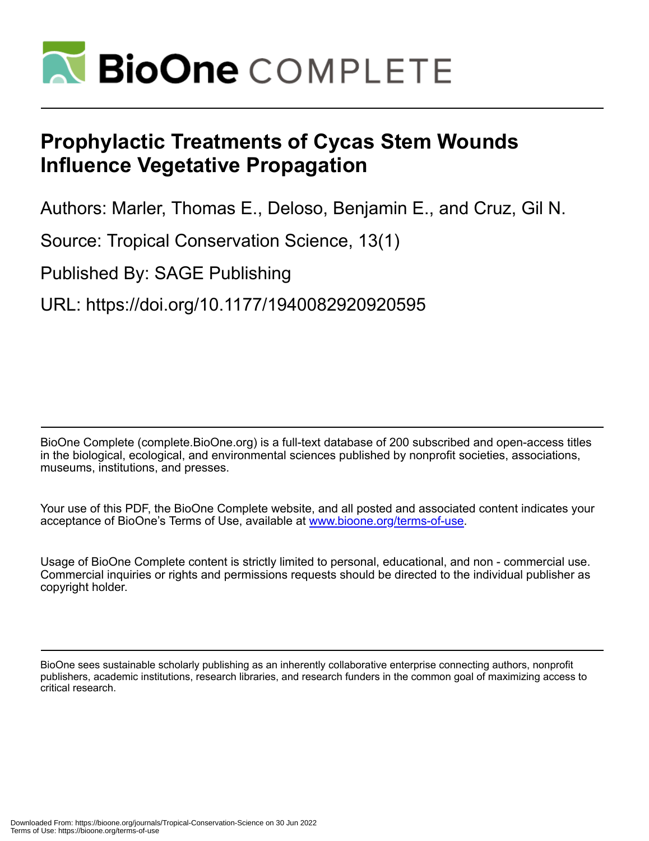

# **Prophylactic Treatments of Cycas Stem Wounds Influence Vegetative Propagation**

Authors: Marler, Thomas E., Deloso, Benjamin E., and Cruz, Gil N.

Source: Tropical Conservation Science, 13(1)

Published By: SAGE Publishing

URL: https://doi.org/10.1177/1940082920920595

BioOne Complete (complete.BioOne.org) is a full-text database of 200 subscribed and open-access titles in the biological, ecological, and environmental sciences published by nonprofit societies, associations, museums, institutions, and presses.

Your use of this PDF, the BioOne Complete website, and all posted and associated content indicates your acceptance of BioOne's Terms of Use, available at www.bioone.org/terms-of-use.

Usage of BioOne Complete content is strictly limited to personal, educational, and non - commercial use. Commercial inquiries or rights and permissions requests should be directed to the individual publisher as copyright holder.

BioOne sees sustainable scholarly publishing as an inherently collaborative enterprise connecting authors, nonprofit publishers, academic institutions, research libraries, and research funders in the common goal of maximizing access to critical research.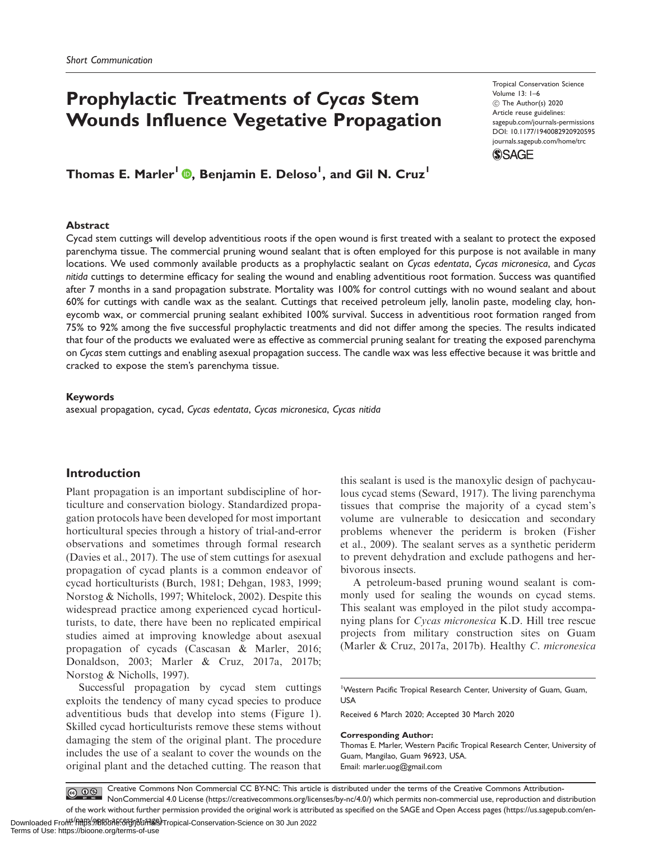## Prophylactic Treatments of Cycas Stem Wounds Influence Vegetative Propagation

Tropical Conservation Science Volume 13: 1–6  $©$  The Author(s) 2020 Article reuse guidelines: [sagepub.com/journals-permissions](http://us.sagepub.com/en-us/journals-permissions) [DOI: 10.1177/1940082920920595](http://dx.doi.org/10.1177/1940082920920595) <journals.sagepub.com/home/trc> **SSAGE** 

Thomas E. Marler<sup>l</sup> <mark>®</mark>, Benjamin E. Deloso<sup>l</sup>, and Gil N. Cruz<sup>l</sup>

#### Abstract

Cycad stem cuttings will develop adventitious roots if the open wound is first treated with a sealant to protect the exposed parenchyma tissue. The commercial pruning wound sealant that is often employed for this purpose is not available in many locations. We used commonly available products as a prophylactic sealant on Cycas edentata, Cycas micronesica, and Cycas nitida cuttings to determine efficacy for sealing the wound and enabling adventitious root formation. Success was quantified after 7 months in a sand propagation substrate. Mortality was 100% for control cuttings with no wound sealant and about 60% for cuttings with candle wax as the sealant. Cuttings that received petroleum jelly, lanolin paste, modeling clay, honeycomb wax, or commercial pruning sealant exhibited 100% survival. Success in adventitious root formation ranged from 75% to 92% among the five successful prophylactic treatments and did not differ among the species. The results indicated that four of the products we evaluated were as effective as commercial pruning sealant for treating the exposed parenchyma on Cycas stem cuttings and enabling asexual propagation success. The candle wax was less effective because it was brittle and cracked to expose the stem's parenchyma tissue.

#### Keywords

asexual propagation, cycad, Cycas edentata, Cycas micronesica, Cycas nitida

## Introduction

Plant propagation is an important subdiscipline of horticulture and conservation biology. Standardized propagation protocols have been developed for most important horticultural species through a history of trial-and-error observations and sometimes through formal research (Davies et al., 2017). The use of stem cuttings for asexual propagation of cycad plants is a common endeavor of cycad horticulturists (Burch, 1981; Dehgan, 1983, 1999; Norstog & Nicholls, 1997; Whitelock, 2002). Despite this widespread practice among experienced cycad horticulturists, to date, there have been no replicated empirical studies aimed at improving knowledge about asexual propagation of cycads (Cascasan & Marler, 2016; Donaldson, 2003; Marler & Cruz, 2017a, 2017b; Norstog & Nicholls, 1997).

Successful propagation by cycad stem cuttings exploits the tendency of many cycad species to produce adventitious buds that develop into stems (Figure 1). Skilled cycad horticulturists remove these stems without damaging the stem of the original plant. The procedure includes the use of a sealant to cover the wounds on the original plant and the detached cutting. The reason that

this sealant is used is the manoxylic design of pachycaulous cycad stems (Seward, 1917). The living parenchyma tissues that comprise the majority of a cycad stem's volume are vulnerable to desiccation and secondary problems whenever the periderm is broken (Fisher et al., 2009). The sealant serves as a synthetic periderm to prevent dehydration and exclude pathogens and herbivorous insects.

A petroleum-based pruning wound sealant is commonly used for sealing the wounds on cycad stems. This sealant was employed in the pilot study accompanying plans for Cycas micronesica K.D. Hill tree rescue projects from military construction sites on Guam (Marler & Cruz, 2017a, 2017b). Healthy C. micronesica

Received 6 March 2020; Accepted 30 March 2020

#### Corresponding Author:

<sup>&</sup>lt;sup>1</sup>Western Pacific Tropical Research Center, University of Guam, Guam, USA

Thomas E. Marler, Western Pacific Tropical Research Center, University of Guam, Mangilao, Guam 96923, USA. Email: [marler.uog@gmail.com](mailto:marler.uog@gmail.com)

Creative Commons Non Commercial CC BY-NC: This article is distributed under the terms of the Creative Commons Attribution-NonCommercial 4.0 License (https://creativecommons.org/licenses/by-nc/4.0/) which permits non-commercial use, reproduction and distribution of the work without further permission provided the original work is attributed as specified on the SAGE and Open Access pages (https://us.sagepub.com/en-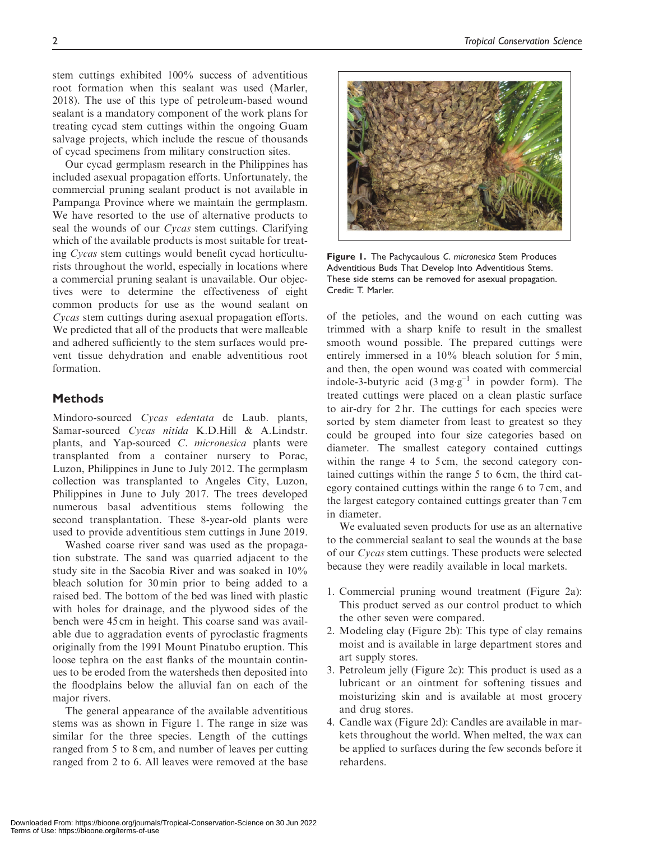stem cuttings exhibited 100% success of adventitious root formation when this sealant was used (Marler, 2018). The use of this type of petroleum-based wound sealant is a mandatory component of the work plans for treating cycad stem cuttings within the ongoing Guam salvage projects, which include the rescue of thousands of cycad specimens from military construction sites.

Our cycad germplasm research in the Philippines has included asexual propagation efforts. Unfortunately, the commercial pruning sealant product is not available in Pampanga Province where we maintain the germplasm. We have resorted to the use of alternative products to seal the wounds of our Cycas stem cuttings. Clarifying which of the available products is most suitable for treating Cycas stem cuttings would benefit cycad horticulturists throughout the world, especially in locations where a commercial pruning sealant is unavailable. Our objectives were to determine the effectiveness of eight common products for use as the wound sealant on Cycas stem cuttings during asexual propagation efforts. We predicted that all of the products that were malleable and adhered sufficiently to the stem surfaces would prevent tissue dehydration and enable adventitious root formation.

## Methods

Mindoro-sourced Cycas edentata de Laub. plants, Samar-sourced Cycas nitida K.D.Hill & A.Lindstr. plants, and Yap-sourced C. micronesica plants were transplanted from a container nursery to Porac, Luzon, Philippines in June to July 2012. The germplasm collection was transplanted to Angeles City, Luzon, Philippines in June to July 2017. The trees developed numerous basal adventitious stems following the second transplantation. These 8-year-old plants were used to provide adventitious stem cuttings in June 2019.

Washed coarse river sand was used as the propagation substrate. The sand was quarried adjacent to the study site in the Sacobia River and was soaked in 10% bleach solution for 30 min prior to being added to a raised bed. The bottom of the bed was lined with plastic with holes for drainage, and the plywood sides of the bench were 45 cm in height. This coarse sand was available due to aggradation events of pyroclastic fragments originally from the 1991 Mount Pinatubo eruption. This loose tephra on the east flanks of the mountain continues to be eroded from the watersheds then deposited into the floodplains below the alluvial fan on each of the major rivers.

The general appearance of the available adventitious stems was as shown in Figure 1. The range in size was similar for the three species. Length of the cuttings ranged from 5 to 8 cm, and number of leaves per cutting ranged from 2 to 6. All leaves were removed at the base



Figure 1. The Pachycaulous C. micronesica Stem Produces Adventitious Buds That Develop Into Adventitious Stems. These side stems can be removed for asexual propagation. Credit: T. Marler.

of the petioles, and the wound on each cutting was trimmed with a sharp knife to result in the smallest smooth wound possible. The prepared cuttings were entirely immersed in a 10% bleach solution for 5 min, and then, the open wound was coated with commercial indole-3-butyric acid  $(3 \text{ mg} \cdot \text{g}^{-1})$  in powder form). The treated cuttings were placed on a clean plastic surface to air-dry for 2 hr. The cuttings for each species were sorted by stem diameter from least to greatest so they could be grouped into four size categories based on diameter. The smallest category contained cuttings within the range 4 to 5 cm, the second category contained cuttings within the range 5 to 6 cm, the third category contained cuttings within the range 6 to 7 cm, and the largest category contained cuttings greater than 7 cm in diameter.

We evaluated seven products for use as an alternative to the commercial sealant to seal the wounds at the base of our Cycas stem cuttings. These products were selected because they were readily available in local markets.

- 1. Commercial pruning wound treatment (Figure 2a): This product served as our control product to which the other seven were compared.
- 2. Modeling clay (Figure 2b): This type of clay remains moist and is available in large department stores and art supply stores.
- 3. Petroleum jelly (Figure 2c): This product is used as a lubricant or an ointment for softening tissues and moisturizing skin and is available at most grocery and drug stores.
- 4. Candle wax (Figure 2d): Candles are available in markets throughout the world. When melted, the wax can be applied to surfaces during the few seconds before it rehardens.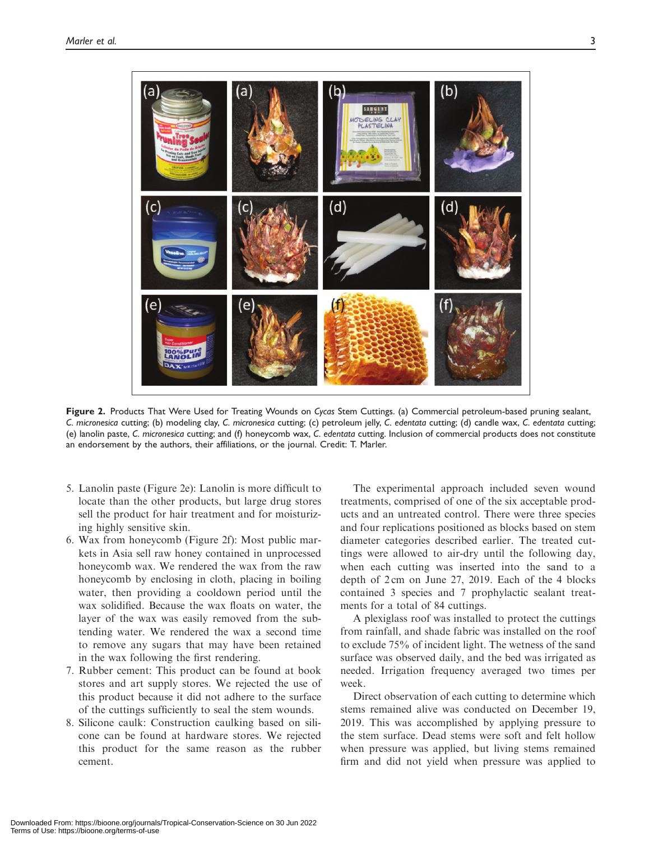

Figure 2. Products That Were Used for Treating Wounds on Cycas Stem Cuttings. (a) Commercial petroleum-based pruning sealant, C. micronesica cutting; (b) modeling clay, C. micronesica cutting; (c) petroleum jelly, C. edentata cutting; (d) candle wax, C. edentata cutting; (e) lanolin paste, C. micronesica cutting; and (f) honeycomb wax, C. edentata cutting. Inclusion of commercial products does not constitute an endorsement by the authors, their affiliations, or the journal. Credit: T. Marler.

- 5. Lanolin paste (Figure 2e): Lanolin is more difficult to locate than the other products, but large drug stores sell the product for hair treatment and for moisturizing highly sensitive skin.
- 6. Wax from honeycomb (Figure 2f): Most public markets in Asia sell raw honey contained in unprocessed honeycomb wax. We rendered the wax from the raw honeycomb by enclosing in cloth, placing in boiling water, then providing a cooldown period until the wax solidified. Because the wax floats on water, the layer of the wax was easily removed from the subtending water. We rendered the wax a second time to remove any sugars that may have been retained in the wax following the first rendering.
- 7. Rubber cement: This product can be found at book stores and art supply stores. We rejected the use of this product because it did not adhere to the surface of the cuttings sufficiently to seal the stem wounds.
- 8. Silicone caulk: Construction caulking based on silicone can be found at hardware stores. We rejected this product for the same reason as the rubber cement.

The experimental approach included seven wound treatments, comprised of one of the six acceptable products and an untreated control. There were three species and four replications positioned as blocks based on stem diameter categories described earlier. The treated cuttings were allowed to air-dry until the following day, when each cutting was inserted into the sand to a depth of 2 cm on June 27, 2019. Each of the 4 blocks contained 3 species and 7 prophylactic sealant treatments for a total of 84 cuttings.

A plexiglass roof was installed to protect the cuttings from rainfall, and shade fabric was installed on the roof to exclude 75% of incident light. The wetness of the sand surface was observed daily, and the bed was irrigated as needed. Irrigation frequency averaged two times per week.

Direct observation of each cutting to determine which stems remained alive was conducted on December 19, 2019. This was accomplished by applying pressure to the stem surface. Dead stems were soft and felt hollow when pressure was applied, but living stems remained firm and did not yield when pressure was applied to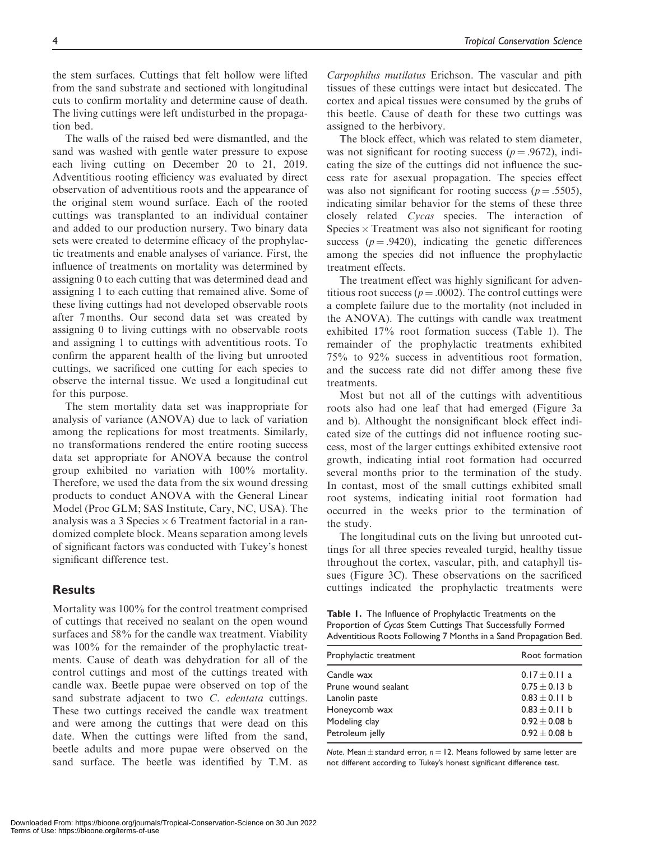the stem surfaces. Cuttings that felt hollow were lifted from the sand substrate and sectioned with longitudinal cuts to confirm mortality and determine cause of death. The living cuttings were left undisturbed in the propagation bed.

The walls of the raised bed were dismantled, and the sand was washed with gentle water pressure to expose each living cutting on December 20 to 21, 2019. Adventitious rooting efficiency was evaluated by direct observation of adventitious roots and the appearance of the original stem wound surface. Each of the rooted cuttings was transplanted to an individual container and added to our production nursery. Two binary data sets were created to determine efficacy of the prophylactic treatments and enable analyses of variance. First, the influence of treatments on mortality was determined by assigning 0 to each cutting that was determined dead and assigning 1 to each cutting that remained alive. Some of these living cuttings had not developed observable roots after 7 months. Our second data set was created by assigning 0 to living cuttings with no observable roots and assigning 1 to cuttings with adventitious roots. To confirm the apparent health of the living but unrooted cuttings, we sacrificed one cutting for each species to observe the internal tissue. We used a longitudinal cut for this purpose.

The stem mortality data set was inappropriate for analysis of variance (ANOVA) due to lack of variation among the replications for most treatments. Similarly, no transformations rendered the entire rooting success data set appropriate for ANOVA because the control group exhibited no variation with 100% mortality. Therefore, we used the data from the six wound dressing products to conduct ANOVA with the General Linear Model (Proc GLM; SAS Institute, Cary, NC, USA). The analysis was a 3 Species  $\times$  6 Treatment factorial in a randomized complete block. Means separation among levels of significant factors was conducted with Tukey's honest significant difference test.

## **Results**

Mortality was 100% for the control treatment comprised of cuttings that received no sealant on the open wound surfaces and 58% for the candle wax treatment. Viability was 100% for the remainder of the prophylactic treatments. Cause of death was dehydration for all of the control cuttings and most of the cuttings treated with candle wax. Beetle pupae were observed on top of the sand substrate adjacent to two C. edentata cuttings. These two cuttings received the candle wax treatment and were among the cuttings that were dead on this date. When the cuttings were lifted from the sand, beetle adults and more pupae were observed on the sand surface. The beetle was identified by T.M. as

Carpophilus mutilatus Erichson. The vascular and pith tissues of these cuttings were intact but desiccated. The cortex and apical tissues were consumed by the grubs of this beetle. Cause of death for these two cuttings was assigned to the herbivory.

The block effect, which was related to stem diameter, was not significant for rooting success ( $p = .9672$ ), indicating the size of the cuttings did not influence the success rate for asexual propagation. The species effect was also not significant for rooting success ( $p = .5505$ ), indicating similar behavior for the stems of these three closely related Cycas species. The interaction of Species  $\times$  Treatment was also not significant for rooting success ( $p = .9420$ ), indicating the genetic differences among the species did not influence the prophylactic treatment effects.

The treatment effect was highly significant for adventitious root success ( $p = .0002$ ). The control cuttings were a complete failure due to the mortality (not included in the ANOVA). The cuttings with candle wax treatment exhibited 17% root formation success (Table 1). The remainder of the prophylactic treatments exhibited 75% to 92% success in adventitious root formation, and the success rate did not differ among these five treatments.

Most but not all of the cuttings with adventitious roots also had one leaf that had emerged (Figure 3a and b). Althought the nonsignificant block effect indicated size of the cuttings did not influence rooting success, most of the larger cuttings exhibited extensive root growth, indicating intial root formation had occurred several months prior to the termination of the study. In contast, most of the small cuttings exhibited small root systems, indicating initial root formation had occurred in the weeks prior to the termination of the study.

The longitudinal cuts on the living but unrooted cuttings for all three species revealed turgid, healthy tissue throughout the cortex, vascular, pith, and cataphyll tissues (Figure 3C). These observations on the sacrificed cuttings indicated the prophylactic treatments were

Table 1. The Influence of Prophylactic Treatments on the Proportion of Cycas Stem Cuttings That Successfully Formed Adventitious Roots Following 7 Months in a Sand Propagation Bed.

| Prophylactic treatment | Root formation    |
|------------------------|-------------------|
| Candle wax             | $0.17 + 0.11$ a   |
| Prune wound sealant    | $0.75 \pm 0.13$ b |
| Lanolin paste          | $0.83 \pm 0.11$ b |
| Honeycomb wax          | $0.83 + 0.11$ b   |
| Modeling clay          | $0.92 \pm 0.08$ b |
| Petroleum jelly        | $0.92 + 0.08$ b   |

Note. Mean  $\pm$  standard error,  $n = 12$ . Means followed by same letter are not different according to Tukey's honest significant difference test.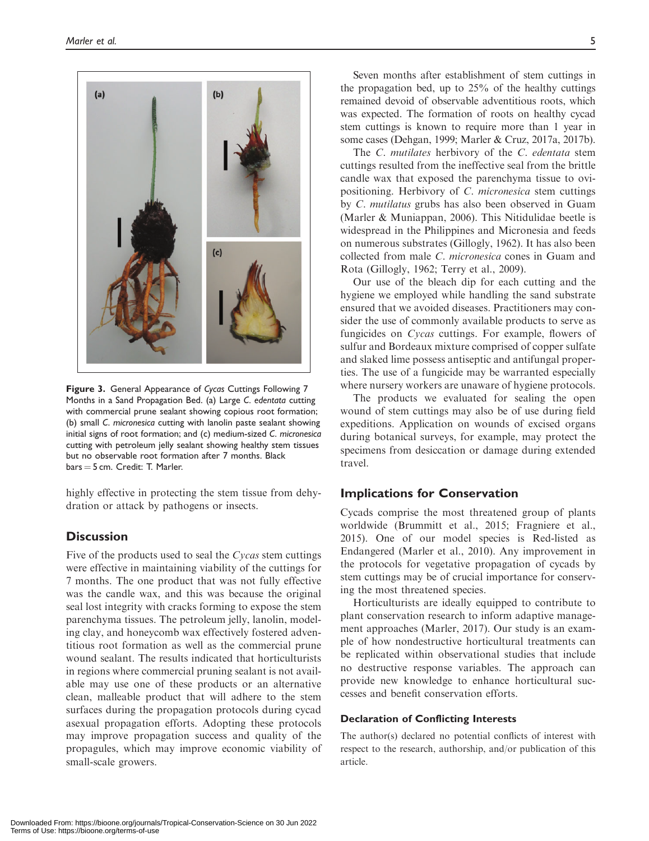

Figure 3. General Appearance of Cycas Cuttings Following 7 Months in a Sand Propagation Bed. (a) Large C. edentata cutting with commercial prune sealant showing copious root formation; (b) small C. micronesica cutting with lanolin paste sealant showing initial signs of root formation; and (c) medium-sized C. micronesica cutting with petroleum jelly sealant showing healthy stem tissues but no observable root formation after 7 months. Black  $bars = 5$  cm. Credit: T. Marler.

highly effective in protecting the stem tissue from dehydration or attack by pathogens or insects.

## **Discussion**

Five of the products used to seal the Cycas stem cuttings were effective in maintaining viability of the cuttings for 7 months. The one product that was not fully effective was the candle wax, and this was because the original seal lost integrity with cracks forming to expose the stem parenchyma tissues. The petroleum jelly, lanolin, modeling clay, and honeycomb wax effectively fostered adventitious root formation as well as the commercial prune wound sealant. The results indicated that horticulturists in regions where commercial pruning sealant is not available may use one of these products or an alternative clean, malleable product that will adhere to the stem surfaces during the propagation protocols during cycad asexual propagation efforts. Adopting these protocols may improve propagation success and quality of the propagules, which may improve economic viability of small-scale growers.

Seven months after establishment of stem cuttings in the propagation bed, up to 25% of the healthy cuttings remained devoid of observable adventitious roots, which was expected. The formation of roots on healthy cycad stem cuttings is known to require more than 1 year in some cases (Dehgan, 1999; Marler & Cruz, 2017a, 2017b).

The *C. mutilates* herbivory of the *C. edentata* stem cuttings resulted from the ineffective seal from the brittle candle wax that exposed the parenchyma tissue to ovipositioning. Herbivory of C. micronesica stem cuttings by C. mutilatus grubs has also been observed in Guam (Marler & Muniappan, 2006). This Nitidulidae beetle is widespread in the Philippines and Micronesia and feeds on numerous substrates (Gillogly, 1962). It has also been collected from male C. micronesica cones in Guam and Rota (Gillogly, 1962; Terry et al., 2009).

Our use of the bleach dip for each cutting and the hygiene we employed while handling the sand substrate ensured that we avoided diseases. Practitioners may consider the use of commonly available products to serve as fungicides on Cycas cuttings. For example, flowers of sulfur and Bordeaux mixture comprised of copper sulfate and slaked lime possess antiseptic and antifungal properties. The use of a fungicide may be warranted especially where nursery workers are unaware of hygiene protocols.

The products we evaluated for sealing the open wound of stem cuttings may also be of use during field expeditions. Application on wounds of excised organs during botanical surveys, for example, may protect the specimens from desiccation or damage during extended travel.

## Implications for Conservation

Cycads comprise the most threatened group of plants worldwide (Brummitt et al., 2015; Fragniere et al., 2015). One of our model species is Red-listed as Endangered (Marler et al., 2010). Any improvement in the protocols for vegetative propagation of cycads by stem cuttings may be of crucial importance for conserving the most threatened species.

Horticulturists are ideally equipped to contribute to plant conservation research to inform adaptive management approaches (Marler, 2017). Our study is an example of how nondestructive horticultural treatments can be replicated within observational studies that include no destructive response variables. The approach can provide new knowledge to enhance horticultural successes and benefit conservation efforts.

#### Declaration of Conflicting Interests

The author(s) declared no potential conflicts of interest with respect to the research, authorship, and/or publication of this article.